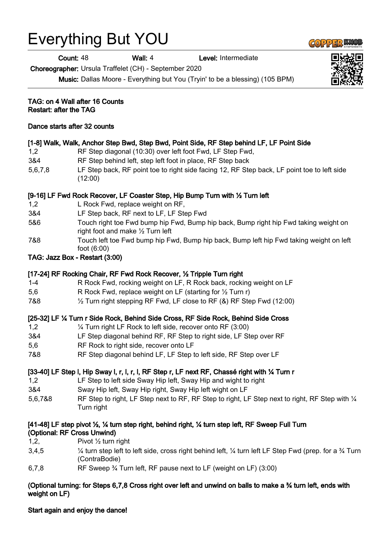# Everything But YOU

**Count: 48 Wall: 4 Level: Intermediate** 

Choreographer: Ursula Traffelet (CH) - September 2020

Music: Dallas Moore - Everything but You (Tryin' to be a blessing) (105 BPM)

TAG: on 4 Wall after 16 Counts Restart: after the TAG

### Dance starts after 32 counts

# [1-8] Walk, Walk, Anchor Step Bwd, Step Bwd, Point Side, RF Step behind LF, LF Point Side

- 1,2 RF Step diagonal (10:30) over left foot Fwd, LF Step Fwd,
- 3&4 RF Step behind left, step left foot in place, RF Step back
- 5,6,7,8 LF Step back, RF point toe to right side facing 12, RF Step back, LF point toe to left side (12:00)

# [9-16] LF Fwd Rock Recover, LF Coaster Step, Hip Bump Turn with ½ Turn left

- 1,2 L Rock Fwd, replace weight on RF,
- 3&4 LF Step back, RF next to LF, LF Step Fwd
- 5&6 Touch right toe Fwd bump hip Fwd, Bump hip back, Bump right hip Fwd taking weight on right foot and make ½ Turn left
- 7&8 Touch left toe Fwd bump hip Fwd, Bump hip back, Bump left hip Fwd taking weight on left foot (6:00)
- TAG: Jazz Box Restart (3:00)

# [17-24] RF Rocking Chair, RF Fwd Rock Recover, ½ Tripple Turn right

- 1-4 R Rock Fwd, rocking weight on LF, R Rock back, rocking weight on LF
- 5,6 R Rock Fwd, replace weight on LF (starting for  $\frac{1}{2}$  Turn r)
- 7&8 ½ Turn right stepping RF Fwd, LF close to RF (&) RF Step Fwd (12:00)

# [25-32] LF ¼ Turn r Side Rock, Behind Side Cross, RF Side Rock, Behind Side Cross

- 1,2 ¼ Turn right LF Rock to left side, recover onto RF (3:00)
- 3&4 LF Step diagonal behind RF, RF Step to right side, LF Step over RF
- 5,6 RF Rock to right side, recover onto LF
- 7&8 RF Step diagonal behind LF, LF Step to left side, RF Step over LF

# [33-40] LF Step l, Hip Sway l, r, l, r, l, RF Step r, LF next RF, Chassé right with ¼ Turn r

- 1,2 LF Step to left side Sway Hip left, Sway Hip and wight to right
- 3&4 Sway Hip left, Sway Hip right, Sway Hip left wight on LF
- 5.6.7&8 RF Step to right, LF Step next to RF, RF Step to right, LF Step next to right, RF Step with 1/4 Turn right

#### [41-48] LF step pivot ½, ¼ turn step right, behind right, ¼ turn step left, RF Sweep Full Turn (Optional: RF Cross Unwind)

- 1,2, Pivot  $\frac{1}{2}$  turn right
- 3.4,5  $\frac{1}{4}$  turn step left to left side, cross right behind left,  $\frac{1}{4}$  turn left LF Step Fwd (prep. for a  $\frac{3}{4}$  Turn (ContraBodie)
- 6,7,8 RF Sweep ¾ Turn left, RF pause next to LF (weight on LF) (3:00)

# (Optional turning: for Steps 6,7,8 Cross right over left and unwind on balls to make a ¾ turn left, ends with weight on LF)

## Start again and enjoy the dance!